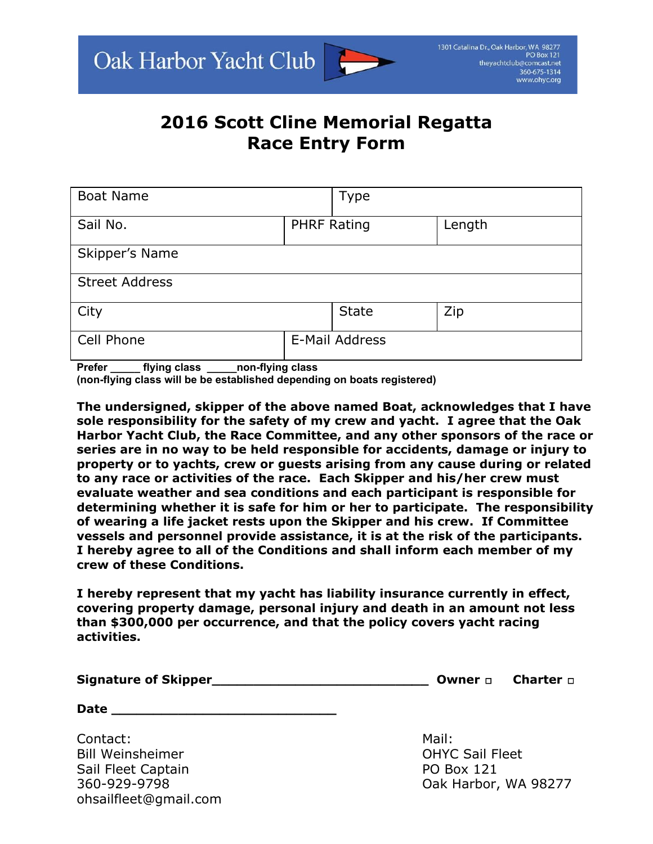## **2016 Scott Cline Memorial Regatta Race Entry Form**

| <b>Boat Name</b>      |                    | <b>Type</b>  |        |
|-----------------------|--------------------|--------------|--------|
| Sail No.              | <b>PHRF Rating</b> |              | Length |
| Skipper's Name        |                    |              |        |
| <b>Street Address</b> |                    |              |        |
| City                  |                    | <b>State</b> | Zip    |
| Cell Phone            | E-Mail Address     |              |        |

Prefer flying class non-flying class

(non-flying class will be be established depending on boats registered)

**The undersigned, skipper of the above named Boat, acknowledges that I have sole responsibility for the safety of my crew and yacht. I agree that the Oak Harbor Yacht Club, the Race Committee, and any other sponsors of the race or series are in no way to be held responsible for accidents, damage or injury to property or to yachts, crew or guests arising from any cause during or related to any race or activities of the race. Each Skipper and his/her crew must evaluate weather and sea conditions and each participant is responsible for determining whether it is safe for him or her to participate. The responsibility of wearing a life jacket rests upon the Skipper and his crew. If Committee vessels and personnel provide assistance, it is at the risk of the participants. I hereby agree to all of the Conditions and shall inform each member of my crew of these Conditions.**

**I hereby represent that my yacht has liability insurance currently in effect, covering property damage, personal injury and death in an amount not less than \$300,000 per occurrence, and that the policy covers yacht racing activities.**

| <b>Signature of Skipper_</b> |  | <b>Owner <math>\Box</math></b> Charter $\Box$ |
|------------------------------|--|-----------------------------------------------|
|------------------------------|--|-----------------------------------------------|

**Date \_\_\_\_\_\_\_\_\_\_\_\_\_\_\_\_\_\_\_\_\_\_\_\_\_\_\_**

Contact: Mail: Mail: Mail: Mail: Mail: Mail: Mail: Mail: Mail: Mail: Mail: Mail: Mail: Mail: Mail: Mail: Mail: Mail: Mail: Mail: Mail: Mail: Mail: Mail: Mail: Mail: Mail: Mail: Mail: Mail: Mail: Mail: Mail: Mail: Mail: Mai Bill Weinsheimer **OHYC Sail Fleet** Sail Fleet Captain **PO Box 121** ohsailfleet@gmail.com

360-929-9798 **Oak Harbor, WA 98277**